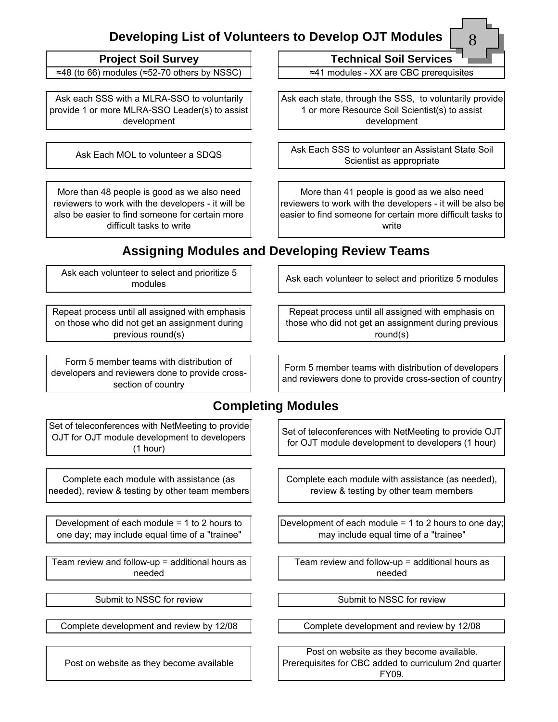## **Developing List of Volunteers to Develop OJT Modules**

| Project Soil Survey |  |  |  |
|---------------------|--|--|--|
|---------------------|--|--|--|

≈48 (to 66) modules (≈52-70 others by NSSC) ≈41 modules - XX are CBC prerequisites

Ask each SSS with a MLRA-SSO to voluntarily provide 1 or more MLRA-SSO Leader(s) to assist development

More than 48 people is good as we also need reviewers to work with the developers - it will be also be easier to find someone for certain more difficult tasks to write

**Technical Soil Services** 

8

Ask each state, through the SSS, to voluntarily provide 1 or more Resource Soil Scientist(s) to assist development

Ask Each MOL to volunteer a SDQS Ask Each SSS to volunteer an Assistant State Soil Scientist as appropriate

> More than 41 people is good as we also need reviewers to work with the developers - it will be also be easier to find someone for certain more difficult tasks to write

Ask each volunteer to select and prioritize 5 modules

Repeat process until all assigned with emphasis on those who did not get an assignment during previous round(s)

Form 5 member teams with distribution of developers and reviewers done to provide cross-section of country

## **Assigning Modules and Developing Review Teams**

Ask each volunteer to select and prioritize 5 modules

Repeat process until all assigned with emphasis on those who did not get an assignment during previous round(s)

Form 5 member teams with distribution of developers and reviewers done to provide crosssection of country

**Completing Modules**

Set of teleconferences with NetMeeting to provide OJT for OJT module development to developers (1 hour)

Complete each module with assistance (as needed), review & testing by other team members

Development of each module = 1 to 2 hours to one day; may include equal time of a "trainee"

Team review and follow-up = additional hours as needed

Post on website as they become available

Set of teleconferences with NetMeeting to provide OJT for OJT module development to developers (1 hour)

Complete each module with assistance (as needed), review & testing by other team members

Development of each module = 1 to 2 hours to one day; may include equal time of a "trainee"

Team review and follow-up = additional hours as needed

Submit to NSSC for review  $\vert$   $\vert$   $\vert$  Submit to NSSC for review

Complete development and review by 12/08 Complete development and review by 12/08

Post on website as they become available. Prerequisites for CBC added to curriculum 2nd quarter FY09.